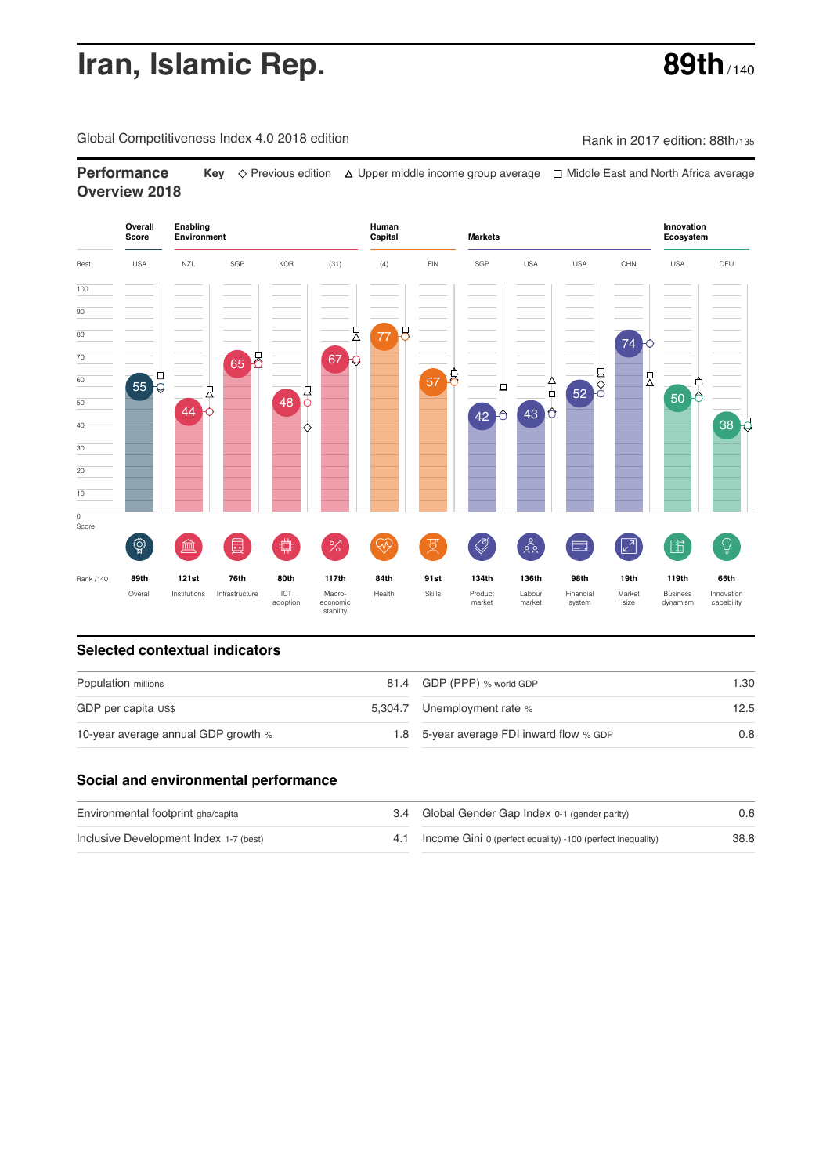# **Iran, Islamic Rep. 69th** / 140

Global Competitiveness Index 4.0 2018 edition Company Rank in 2017 edition: 88th/135

**Performance Key**  $\Diamond$  Previous edition △ Upper middle income group average □ Middle East and North Africa average **Overview 2018**



### **Selected contextual indicators**

| Population millions                 | 81.4 GDP (PPP) % world GDP               | 1.30 |  |
|-------------------------------------|------------------------------------------|------|--|
| GDP per capita US\$                 | 5,304.7 Unemployment rate %              | 12.5 |  |
| 10-year average annual GDP growth % | 1.8 5-year average FDI inward flow % GDP | 0.8  |  |

### **Social and environmental performance**

| Environmental footprint gha/capita     | 3.4 Global Gender Gap Index 0-1 (gender parity)                | 0.6  |
|----------------------------------------|----------------------------------------------------------------|------|
| Inclusive Development Index 1-7 (best) | 4.1 Income Gini 0 (perfect equality) -100 (perfect inequality) | 38.8 |

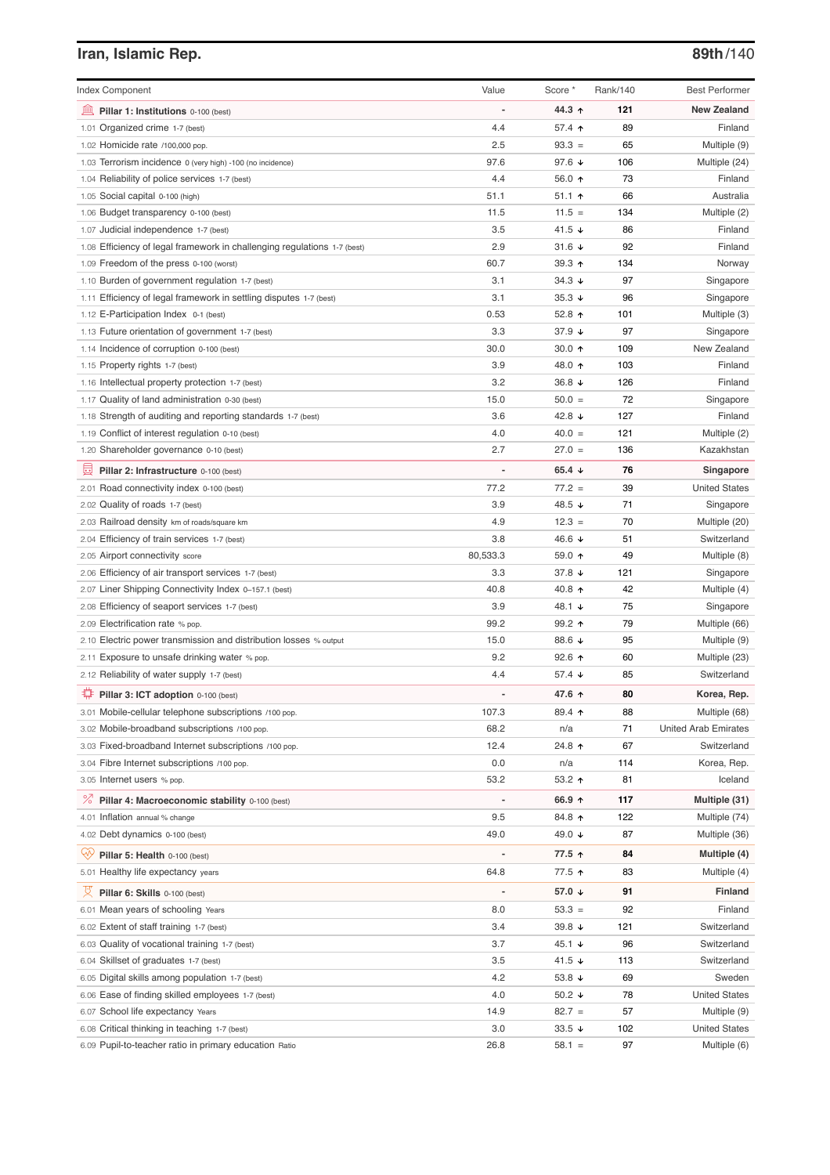# **Iran, Islamic Rep. 89th**/140

| <b>Index Component</b>                                                   | Value          | Score *              | Rank/140 | <b>Best Performer</b>       |
|--------------------------------------------------------------------------|----------------|----------------------|----------|-----------------------------|
| Pillar 1: Institutions 0-100 (best)                                      |                | 44.3 ↑               | 121      | <b>New Zealand</b>          |
| 1.01 Organized crime 1-7 (best)                                          | 4.4            | 57.4 ↑               | 89       | Finland                     |
| 1.02 Homicide rate /100,000 pop.                                         | 2.5            | $93.3 =$             | 65       | Multiple (9)                |
| 1.03 Terrorism incidence 0 (very high) -100 (no incidence)               | 97.6           | 97.6 $\sqrt{ }$      | 106      | Multiple (24)               |
| 1.04 Reliability of police services 1-7 (best)                           | 4.4            | 56.0 ↑               | 73       | Finland                     |
| 1.05 Social capital 0-100 (high)                                         | 51.1           | $51.1$ 1             | 66       | Australia                   |
| 1.06 Budget transparency 0-100 (best)                                    | 11.5           | $11.5 =$             | 134      | Multiple (2)                |
| 1.07 Judicial independence 1-7 (best)                                    | 3.5            | 41.5 $\sqrt{ }$      | 86       | Finland                     |
| 1.08 Efficiency of legal framework in challenging regulations 1-7 (best) | 2.9            | 31.6 $\sqrt{ }$      | 92       | Finland                     |
| 1.09 Freedom of the press 0-100 (worst)                                  | 60.7           | 39.3 $\uparrow$      | 134      | Norway                      |
| 1.10 Burden of government regulation 1-7 (best)                          | 3.1            | $34.3 \; \downarrow$ | 97       | Singapore                   |
| 1.11 Efficiency of legal framework in settling disputes 1-7 (best)       | 3.1            | $35.3 +$             | 96       | Singapore                   |
| 1.12 E-Participation Index 0-1 (best)                                    | 0.53           | 52.8 $\uparrow$      | 101      | Multiple (3)                |
| 1.13 Future orientation of government 1-7 (best)                         | 3.3            | 37.9 $\sqrt{ }$      | 97       | Singapore                   |
| 1.14 Incidence of corruption 0-100 (best)                                | 30.0           | 30.0 $\uparrow$      | 109      | New Zealand                 |
| 1.15 Property rights 1-7 (best)                                          | 3.9            | 48.0 ↑               | 103      | Finland                     |
| 1.16 Intellectual property protection 1-7 (best)                         | 3.2            | 36.8 $\sqrt{ }$      | 126      | Finland                     |
| 1.17 Quality of land administration 0-30 (best)                          | 15.0           | $50.0 =$             | 72       | Singapore                   |
| 1.18 Strength of auditing and reporting standards 1-7 (best)             | 3.6            | 42.8 $\sqrt{ }$      | 127      | Finland                     |
| 1.19 Conflict of interest regulation 0-10 (best)                         | 4.0            | $40.0 =$             | 121      | Multiple (2)                |
| 1.20 Shareholder governance 0-10 (best)                                  | 2.7            | $27.0 =$             | 136      | Kazakhstan                  |
| 員<br>Pillar 2: Infrastructure 0-100 (best)                               |                | 65.4 $\sqrt{ }$      | 76       | Singapore                   |
| 2.01 Road connectivity index 0-100 (best)                                | 77.2           | $77.2 =$             | 39       | <b>United States</b>        |
| 2.02 Quality of roads 1-7 (best)                                         | 3.9            | 48.5 ↓               | 71       | Singapore                   |
| 2.03 Railroad density km of roads/square km                              | 4.9            | $12.3 =$             | 70       | Multiple (20)               |
| 2.04 Efficiency of train services 1-7 (best)                             | 3.8            | 46.6 ↓               | 51       | Switzerland                 |
| 2.05 Airport connectivity score                                          | 80,533.3       | 59.0 ↑               | 49       | Multiple (8)                |
| 2.06 Efficiency of air transport services 1-7 (best)                     | 3.3            | 37.8 $\downarrow$    | 121      | Singapore                   |
| 2.07 Liner Shipping Connectivity Index 0-157.1 (best)                    | 40.8           | 40.8 $\uparrow$      | 42       | Multiple (4)                |
| 2.08 Efficiency of seaport services 1-7 (best)                           | 3.9            | 48.1 ↓               | 75       | Singapore                   |
| 2.09 Electrification rate % pop.                                         | 99.2           | 99.2 $\uparrow$      | 79       | Multiple (66)               |
| 2.10 Electric power transmission and distribution losses % output        | 15.0           | 88.6 ↓               | 95       | Multiple (9)                |
| 2.11 Exposure to unsafe drinking water % pop.                            | 9.2            | 92.6 $\uparrow$      | 60       | Multiple (23)               |
| 2.12 Reliability of water supply 1-7 (best)                              | 4.4            | 57.4 $\downarrow$    | 85       | Switzerland                 |
| O<br>Pillar 3: ICT adoption 0-100 (best)                                 |                | 47.6 ↑               | 80       | Korea, Rep.                 |
| 3.01 Mobile-cellular telephone subscriptions /100 pop.                   | 107.3          | 89.4 ↑               | 88       | Multiple (68)               |
| 3.02 Mobile-broadband subscriptions /100 pop.                            | 68.2           | n/a                  | 71       | <b>United Arab Emirates</b> |
| 3.03 Fixed-broadband Internet subscriptions /100 pop.                    | 12.4           | 24.8 ተ               | 67       | Switzerland                 |
| 3.04 Fibre Internet subscriptions /100 pop.                              | 0.0            | n/a                  | 114      | Korea, Rep.                 |
| 3.05 Internet users % pop.                                               | 53.2           | 53.2 ↑               | 81       | Iceland                     |
| ℅<br>Pillar 4: Macroeconomic stability 0-100 (best)                      | $\overline{a}$ | 66.9 ↑               | 117      | Multiple (31)               |
| 4.01 Inflation annual % change                                           | 9.5            | 84.8 个               | 122      | Multiple (74)               |
| 4.02 Debt dynamics 0-100 (best)                                          | 49.0           | 49.0 ↓               | 87       | Multiple (36)               |
| Qÿ<br>Pillar 5: Health 0-100 (best)                                      |                | 77.5 ↑               | 84       | Multiple (4)                |
| 5.01 Healthy life expectancy years                                       | 64.8           | 77.5 ↑               | 83       | Multiple (4)                |
| 섯<br>Pillar 6: Skills 0-100 (best)                                       | $\overline{a}$ | 57.0 ↓               | 91       | Finland                     |
| 6.01 Mean years of schooling Years                                       | 8.0            | $53.3 =$             | 92       | Finland                     |
| 6.02 Extent of staff training 1-7 (best)                                 | 3.4            | 39.8 $\sqrt{ }$      | 121      | Switzerland                 |
| 6.03 Quality of vocational training 1-7 (best)                           | 3.7            | 45.1 $\sqrt{ }$      | 96       | Switzerland                 |
| 6.04 Skillset of graduates 1-7 (best)                                    | 3.5            | 41.5 $\sqrt{ }$      | 113      | Switzerland                 |
| 6.05 Digital skills among population 1-7 (best)                          | 4.2            | 53.8 ↓               | 69       | Sweden                      |
| 6.06 Ease of finding skilled employees 1-7 (best)                        | 4.0            | 50.2 $\sqrt{ }$      | 78       | <b>United States</b>        |
| 6.07 School life expectancy Years                                        | 14.9           | $82.7 =$             | 57       | Multiple (9)                |
| 6.08 Critical thinking in teaching 1-7 (best)                            | 3.0            | 33.5 $\sqrt{ }$      | 102      | <b>United States</b>        |
| 6.09 Pupil-to-teacher ratio in primary education Ratio                   | 26.8           | $58.1 =$             | 97       | Multiple (6)                |